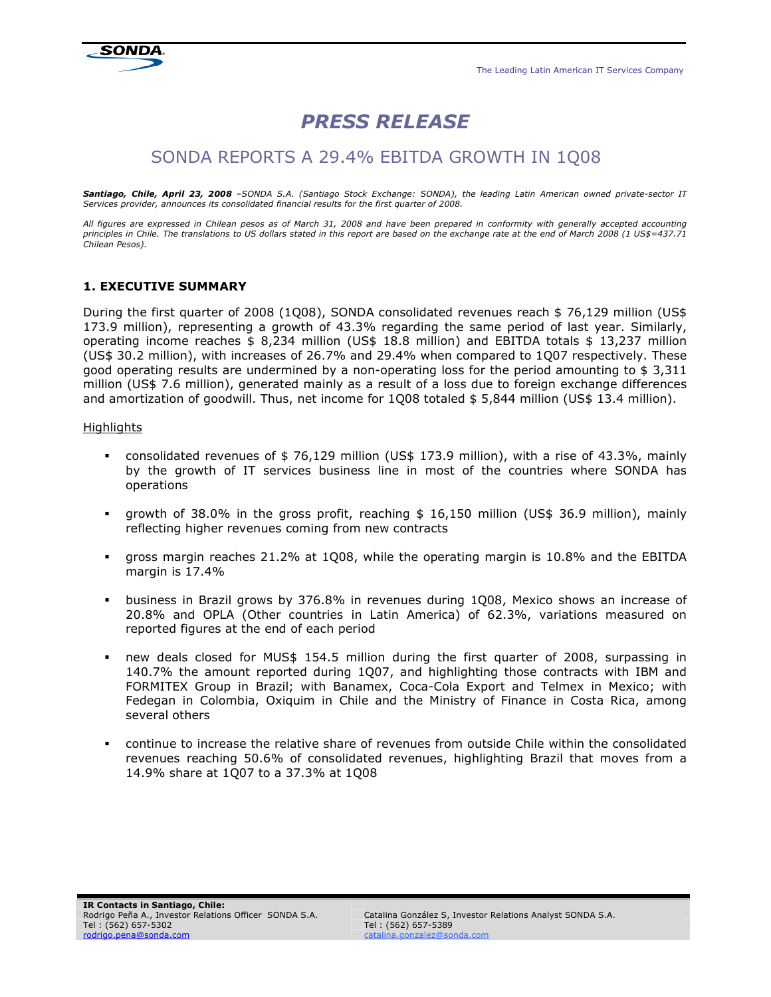

# PRESS RELEASE

# SONDA REPORTS A 29.4% EBITDA GROWTH IN 1Q08

Santiago, Chile, April 23, 2008 *–SONDA S.A. (Santiago Stock Exchange: SONDA), the leading Latin American owned private-sector IT Services provider, announces its consolidated financial results for the first quarter of 2008.* 

*All figures are expressed in Chilean pesos as of March 31, 2008 and have been prepared in conformity with generally accepted accounting principles in Chile. The translations to US dollars stated in this report are based on the exchange rate at the end of March 2008 (1 US\$=437.71 Chilean Pesos).* 

# 1. EXECUTIVE SUMMARY

During the first quarter of 2008 (1Q08), SONDA consolidated revenues reach \$ 76,129 million (US\$ 173.9 million), representing a growth of 43.3% regarding the same period of last year. Similarly, operating income reaches \$ 8,234 million (US\$ 18.8 million) and EBITDA totals \$ 13,237 million (US\$ 30.2 million), with increases of 26.7% and 29.4% when compared to 1Q07 respectively. These good operating results are undermined by a non-operating loss for the period amounting to \$ 3,311 million (US\$ 7.6 million), generated mainly as a result of a loss due to foreign exchange differences and amortization of goodwill. Thus, net income for 1Q08 totaled \$5,844 million (US\$ 13.4 million).

#### **Highlights**

- consolidated revenues of \$ 76,129 million (US\$ 173.9 million), with a rise of 43.3%, mainly by the growth of IT services business line in most of the countries where SONDA has operations
- growth of 38.0% in the gross profit, reaching \$ 16,150 million (US\$ 36.9 million), mainly reflecting higher revenues coming from new contracts
- gross margin reaches 21.2% at 1Q08, while the operating margin is 10.8% and the EBITDA margin is 17.4%
- business in Brazil grows by 376.8% in revenues during 1Q08, Mexico shows an increase of 20.8% and OPLA (Other countries in Latin America) of 62.3%, variations measured on reported figures at the end of each period
- new deals closed for MUS\$ 154.5 million during the first quarter of 2008, surpassing in 140.7% the amount reported during 1Q07, and highlighting those contracts with IBM and FORMITEX Group in Brazil; with Banamex, Coca-Cola Export and Telmex in Mexico; with Fedegan in Colombia, Oxiquim in Chile and the Ministry of Finance in Costa Rica, among several others
- continue to increase the relative share of revenues from outside Chile within the consolidated revenues reaching 50.6% of consolidated revenues, highlighting Brazil that moves from a 14.9% share at 1Q07 to a 37.3% at 1Q08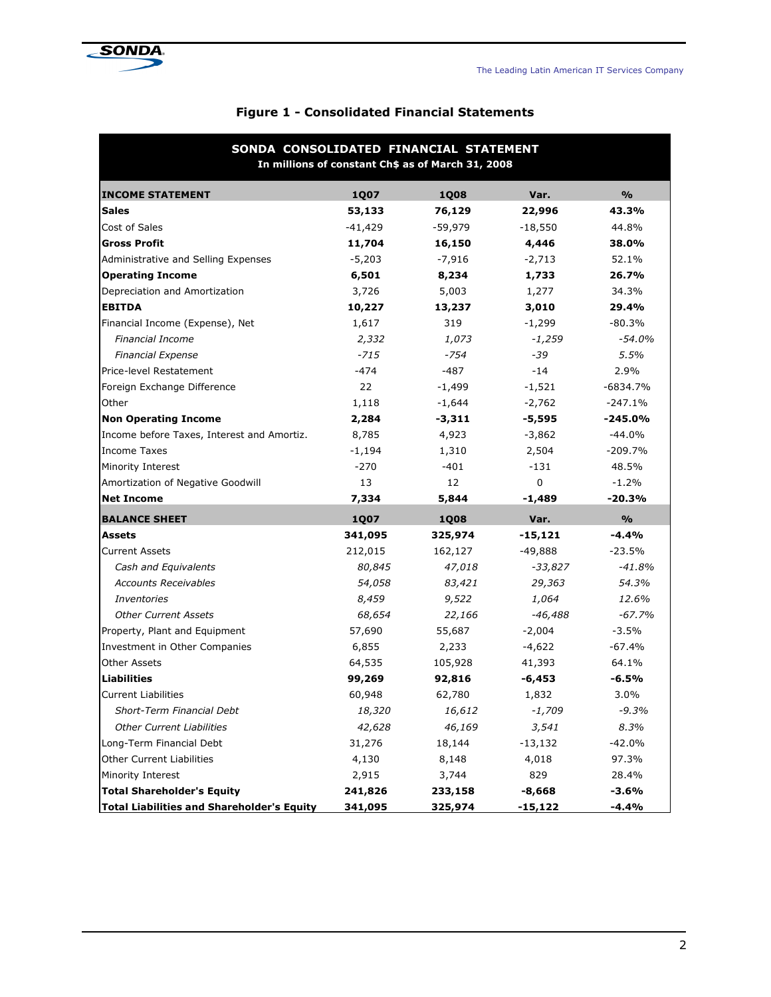

| SONDA CONSOLIDATED FINANCIAL STATEMENT<br>In millions of constant Ch\$ as of March 31, 2008 |             |             |           |               |  |  |
|---------------------------------------------------------------------------------------------|-------------|-------------|-----------|---------------|--|--|
| <b>INCOME STATEMENT</b>                                                                     | <b>1Q07</b> | <b>1Q08</b> | Var.      | $\frac{9}{6}$ |  |  |
| <b>Sales</b>                                                                                | 53,133      | 76,129      | 22,996    | 43.3%         |  |  |
| Cost of Sales                                                                               | $-41,429$   | $-59,979$   | $-18,550$ | 44.8%         |  |  |
| <b>Gross Profit</b>                                                                         | 11,704      | 16,150      | 4,446     | 38.0%         |  |  |
| Administrative and Selling Expenses                                                         | $-5,203$    | $-7,916$    | $-2,713$  | 52.1%         |  |  |
| <b>Operating Income</b>                                                                     | 6,501       | 8,234       | 1,733     | 26.7%         |  |  |
| Depreciation and Amortization                                                               | 3,726       | 5,003       | 1,277     | 34.3%         |  |  |
| <b>EBITDA</b>                                                                               | 10,227      | 13,237      | 3,010     | 29.4%         |  |  |
| Financial Income (Expense), Net                                                             | 1,617       | 319         | $-1,299$  | $-80.3%$      |  |  |
| <b>Financial Income</b>                                                                     | 2,332       | 1,073       | $-1,259$  | $-54.0%$      |  |  |
| <b>Financial Expense</b>                                                                    | $-715$      | $-754$      | -39       | 5.5%          |  |  |
| Price-level Restatement                                                                     | -474        | $-487$      | $-14$     | 2.9%          |  |  |
| Foreign Exchange Difference                                                                 | 22          | $-1,499$    | $-1,521$  | $-6834.7%$    |  |  |
| Other                                                                                       | 1,118       | $-1,644$    | $-2,762$  | $-247.1%$     |  |  |
| <b>Non Operating Income</b>                                                                 | 2,284       | $-3,311$    | $-5,595$  | $-245.0%$     |  |  |
| Income before Taxes, Interest and Amortiz.                                                  | 8,785       | 4,923       | $-3,862$  | $-44.0%$      |  |  |
| <b>Income Taxes</b>                                                                         | $-1,194$    | 1,310       | 2,504     | $-209.7%$     |  |  |
| Minority Interest                                                                           | $-270$      | $-401$      | $-131$    | 48.5%         |  |  |
| Amortization of Negative Goodwill                                                           | 13          | 12          | 0         | $-1.2%$       |  |  |
| <b>Net Income</b>                                                                           | 7,334       | 5,844       | $-1,489$  | $-20.3%$      |  |  |
| <b>BALANCE SHEET</b>                                                                        | <b>1Q07</b> | <b>1Q08</b> | Var.      | $\frac{9}{0}$ |  |  |
| <b>Assets</b>                                                                               | 341,095     | 325,974     | $-15,121$ | $-4.4%$       |  |  |
| <b>Current Assets</b>                                                                       | 212,015     | 162,127     | $-49,888$ | $-23.5%$      |  |  |
| Cash and Equivalents                                                                        | 80,845      | 47,018      | $-33,827$ | $-41.8%$      |  |  |
| <b>Accounts Receivables</b>                                                                 | 54,058      | 83,421      | 29,363    | 54.3%         |  |  |
| Inventories                                                                                 | 8,459       | 9,522       | 1,064     | 12.6%         |  |  |
| <b>Other Current Assets</b>                                                                 | 68,654      | 22,166      | $-46,488$ | $-67.7%$      |  |  |
| Property, Plant and Equipment                                                               | 57,690      | 55,687      | $-2,004$  | $-3.5%$       |  |  |
| Investment in Other Companies                                                               | 6,855       | 2,233       | $-4,622$  | $-67.4%$      |  |  |
| <b>Other Assets</b>                                                                         | 64,535      | 105,928     | 41,393    | 64.1%         |  |  |
| <b>Liabilities</b>                                                                          | 99,269      | 92,816      | $-6,453$  | $-6.5%$       |  |  |
| <b>Current Liabilities</b>                                                                  | 60,948      | 62,780      | 1,832     | 3.0%          |  |  |
| Short-Term Financial Debt                                                                   | 18,320      | 16,612      | -1,709    | $-9.3%$       |  |  |
| <b>Other Current Liabilities</b>                                                            | 42,628      | 46,169      | 3,541     | 8.3%          |  |  |
| Long-Term Financial Debt                                                                    | 31,276      | 18,144      | $-13,132$ | -42.0%        |  |  |
| <b>Other Current Liabilities</b>                                                            | 4,130       | 8,148       | 4,018     | 97.3%         |  |  |
| Minority Interest                                                                           | 2,915       | 3,744       | 829       | 28.4%         |  |  |
| <b>Total Shareholder's Equity</b>                                                           | 241,826     | 233,158     | $-8,668$  | $-3.6%$       |  |  |
| <b>Total Liabilities and Shareholder's Equity</b>                                           | 341,095     | 325,974     | $-15,122$ | $-4.4%$       |  |  |

# Figure 1 - Consolidated Financial Statements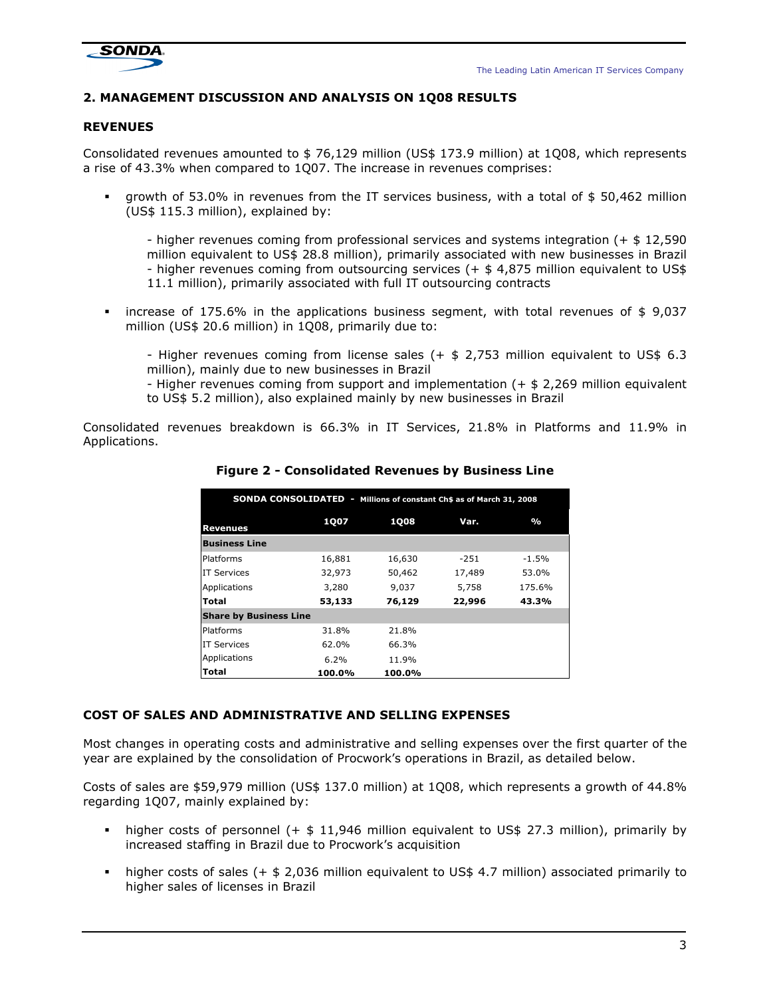

# 2. MANAGEMENT DISCUSSION AND ANALYSIS ON 1Q08 RESULTS

# REVENUES

Consolidated revenues amounted to \$ 76,129 million (US\$ 173.9 million) at 1Q08, which represents a rise of 43.3% when compared to 1Q07. The increase in revenues comprises:

 growth of 53.0% in revenues from the IT services business, with a total of \$ 50,462 million (US\$ 115.3 million), explained by:

- higher revenues coming from professional services and systems integration (+ \$ 12,590 million equivalent to US\$ 28.8 million), primarily associated with new businesses in Brazil - higher revenues coming from outsourcing services (+ \$ 4,875 million equivalent to US\$ 11.1 million), primarily associated with full IT outsourcing contracts

**increase of 175.6%** in the applications business segment, with total revenues of  $\$$  9,037 million (US\$ 20.6 million) in 1Q08, primarily due to:

- Higher revenues coming from license sales  $(+ $ 2,753$  million equivalent to US\$ 6.3 million), mainly due to new businesses in Brazil

- Higher revenues coming from support and implementation (+ \$ 2,269 million equivalent to US\$ 5.2 million), also explained mainly by new businesses in Brazil

Consolidated revenues breakdown is 66.3% in IT Services, 21.8% in Platforms and 11.9% in Applications.

| <b>SONDA CONSOLIDATED - Millions of constant Ch\$ as of March 31, 2008</b> |             |             |        |               |  |  |
|----------------------------------------------------------------------------|-------------|-------------|--------|---------------|--|--|
| <b>Revenues</b>                                                            | <b>1007</b> | <b>1008</b> | Var.   | $\frac{0}{0}$ |  |  |
| <b>Business Line</b>                                                       |             |             |        |               |  |  |
| Platforms                                                                  | 16,881      | 16,630      | $-251$ | $-1.5\%$      |  |  |
| <b>IT Services</b>                                                         | 32,973      | 50,462      | 17,489 | 53.0%         |  |  |
| Applications                                                               | 3,280       | 9,037       | 5,758  | 175.6%        |  |  |
| Total                                                                      | 53,133      | 76,129      | 22,996 | 43.3%         |  |  |
| <b>Share by Business Line</b>                                              |             |             |        |               |  |  |
| Platforms                                                                  | 31.8%       | 21.8%       |        |               |  |  |
| <b>IT Services</b>                                                         | 62.0%       | 66.3%       |        |               |  |  |
| Applications                                                               | $6.2\%$     | 11.9%       |        |               |  |  |
| <b>Total</b>                                                               | 100.0%      | 100.0%      |        |               |  |  |

Figure 2 - Consolidated Revenues by Business Line

# COST OF SALES AND ADMINISTRATIVE AND SELLING EXPENSES

Most changes in operating costs and administrative and selling expenses over the first quarter of the year are explained by the consolidation of Procwork's operations in Brazil, as detailed below.

Costs of sales are \$59,979 million (US\$ 137.0 million) at 1Q08, which represents a growth of 44.8% regarding 1Q07, mainly explained by:

- higher costs of personnel  $(+ $ 11,946$  million equivalent to US\$ 27.3 million), primarily by increased staffing in Brazil due to Procwork's acquisition
- higher costs of sales (+  $\frac{1}{2}$ ,036 million equivalent to US\$ 4.7 million) associated primarily to higher sales of licenses in Brazil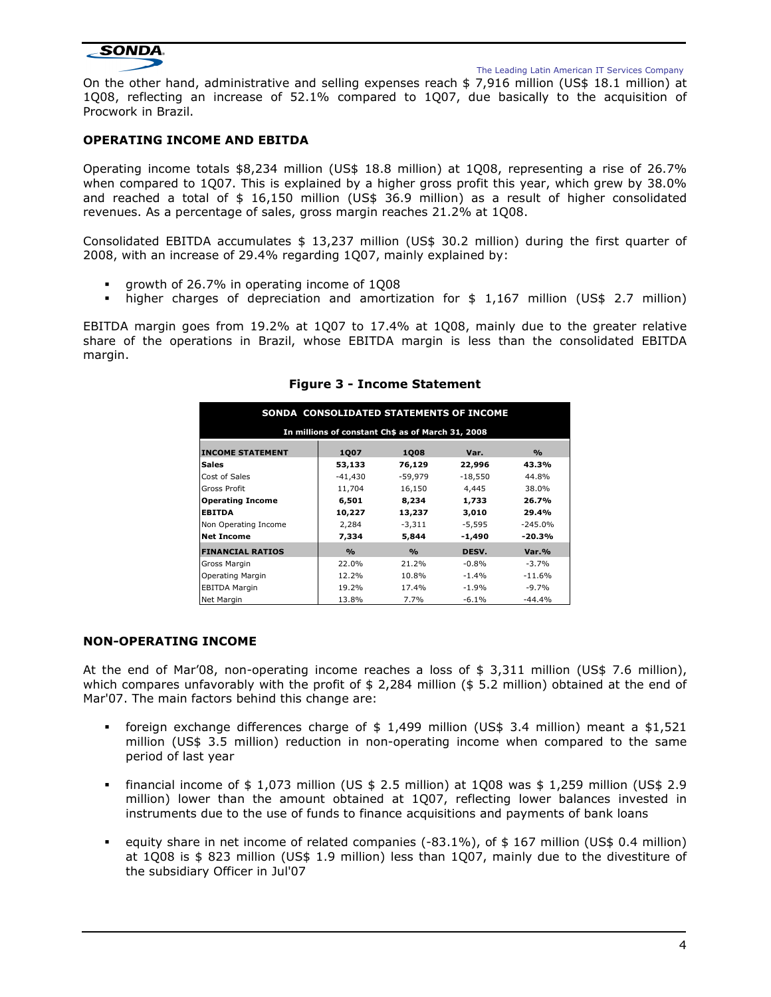

The Leading Latin American IT Services Company

On the other hand, administrative and selling expenses reach \$ 7,916 million (US\$ 18.1 million) at 1Q08, reflecting an increase of 52.1% compared to 1Q07, due basically to the acquisition of Procwork in Brazil.

# OPERATING INCOME AND EBITDA

Operating income totals \$8,234 million (US\$ 18.8 million) at 1Q08, representing a rise of 26.7% when compared to 1Q07. This is explained by a higher gross profit this year, which grew by 38.0% and reached a total of \$ 16,150 million (US\$ 36.9 million) as a result of higher consolidated revenues. As a percentage of sales, gross margin reaches 21.2% at 1Q08.

Consolidated EBITDA accumulates \$ 13,237 million (US\$ 30.2 million) during the first quarter of 2008, with an increase of 29.4% regarding 1Q07, mainly explained by:

- growth of 26.7% in operating income of 1Q08
- higher charges of depreciation and amortization for \$ 1,167 million (US\$ 2.7 million)

EBITDA margin goes from 19.2% at 1Q07 to 17.4% at 1Q08, mainly due to the greater relative share of the operations in Brazil, whose EBITDA margin is less than the consolidated EBITDA margin.

| SONDA CONSOLIDATED STATEMENTS OF INCOME |                                                   |                    |           |                    |  |  |  |
|-----------------------------------------|---------------------------------------------------|--------------------|-----------|--------------------|--|--|--|
|                                         |                                                   |                    |           |                    |  |  |  |
|                                         | In millions of constant Ch\$ as of March 31, 2008 |                    |           |                    |  |  |  |
| <b>INCOME STATEMENT</b>                 | 1007                                              | 1008               | Var.      | $\frac{0}{\alpha}$ |  |  |  |
| <b>Sales</b>                            | 53,133                                            | 76,129             | 22,996    | 43.3%              |  |  |  |
| Cost of Sales                           | $-41.430$                                         | -59,979            | $-18,550$ | 44.8%              |  |  |  |
| Gross Profit                            | 11,704                                            | 16,150             | 4,445     | 38.0%              |  |  |  |
| <b>Operating Income</b>                 | 6,501                                             | 8,234              | 1,733     | 26.7%              |  |  |  |
| <b>EBITDA</b>                           | 10,227                                            | 13,237             | 3,010     | 29.4%              |  |  |  |
| Non Operating Income                    | 2,284                                             | $-3,311$           | $-5,595$  | $-245.0%$          |  |  |  |
| <b>Net Income</b>                       | 7,334                                             | 5,844              | $-1.490$  | -20.3%             |  |  |  |
| <b>FINANCIAL RATIOS</b>                 | $\frac{0}{\alpha}$                                | $\frac{0}{\alpha}$ | DESV.     | Var.%              |  |  |  |
| Gross Margin                            | 22.0%                                             | 21.2%              | $-0.8%$   | $-3.7%$            |  |  |  |
| Operating Margin                        | 12.2%                                             | 10.8%              | $-1.4%$   | $-11.6%$           |  |  |  |
| <b>EBITDA Margin</b>                    | 19.2%                                             | 17.4%              | $-1.9%$   | -9.7%              |  |  |  |
| Net Margin                              | 13.8%                                             | 7.7%               | $-6.1%$   | $-44.4%$           |  |  |  |

Figure 3 - Income Statement

# NON-OPERATING INCOME

At the end of Mar'08, non-operating income reaches a loss of \$ 3,311 million (US\$ 7.6 million), which compares unfavorably with the profit of \$ 2,284 million (\$ 5.2 million) obtained at the end of Mar'07. The main factors behind this change are:

- foreign exchange differences charge of  $$ 1,499$  million (US\$ 3.4 million) meant a  $$1,521$ million (US\$ 3.5 million) reduction in non-operating income when compared to the same period of last year
- financial income of  $$1,073$  million (US  $$2.5$  million) at 1Q08 was  $$1,259$  million (US\$ 2.9) million) lower than the amount obtained at 1Q07, reflecting lower balances invested in instruments due to the use of funds to finance acquisitions and payments of bank loans
- equity share in net income of related companies (-83.1%), of \$ 167 million (US\$ 0.4 million) at 1Q08 is \$ 823 million (US\$ 1.9 million) less than 1Q07, mainly due to the divestiture of the subsidiary Officer in Jul'07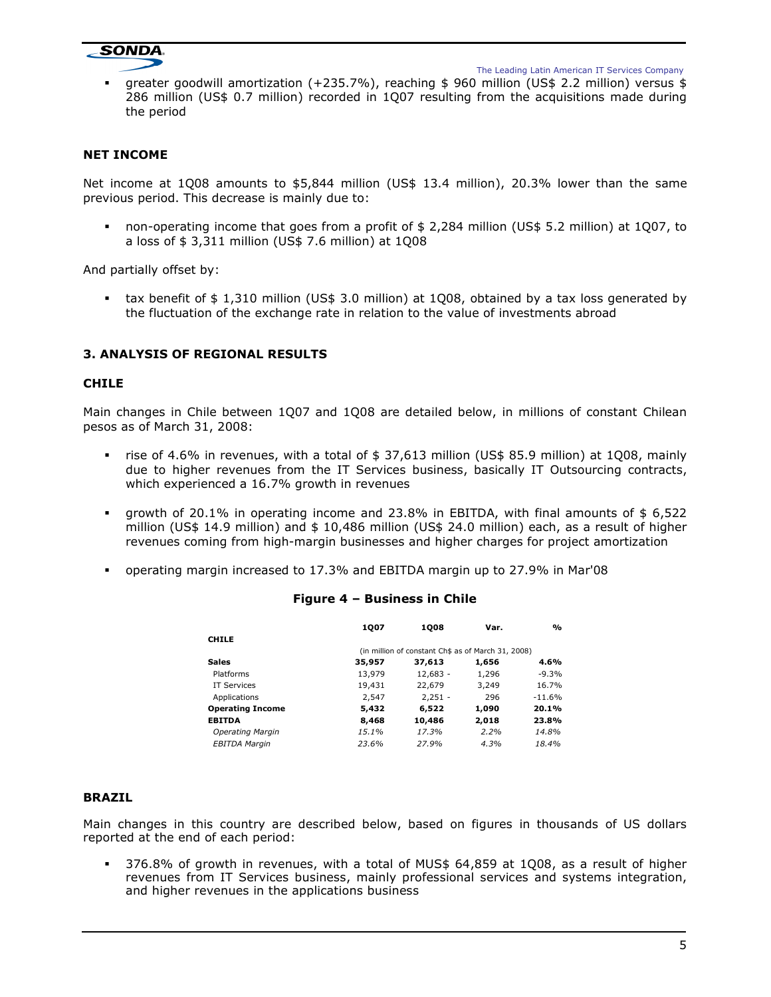

 greater goodwill amortization (+235.7%), reaching \$ 960 million (US\$ 2.2 million) versus \$ 286 million (US\$ 0.7 million) recorded in 1Q07 resulting from the acquisitions made during the period

# NET INCOME

Net income at 1Q08 amounts to \$5,844 million (US\$ 13.4 million), 20.3% lower than the same previous period. This decrease is mainly due to:

 non-operating income that goes from a profit of \$ 2,284 million (US\$ 5.2 million) at 1Q07, to a loss of \$ 3,311 million (US\$ 7.6 million) at 1Q08

And partially offset by:

 tax benefit of \$ 1,310 million (US\$ 3.0 million) at 1Q08, obtained by a tax loss generated by the fluctuation of the exchange rate in relation to the value of investments abroad

# 3. ANALYSIS OF REGIONAL RESULTS

#### CHILE

Main changes in Chile between 1Q07 and 1Q08 are detailed below, in millions of constant Chilean pesos as of March 31, 2008:

- rise of 4.6% in revenues, with a total of  $$37,613$  million (US\$ 85.9 million) at 1Q08, mainly due to higher revenues from the IT Services business, basically IT Outsourcing contracts, which experienced a 16.7% growth in revenues
- growth of 20.1% in operating income and 23.8% in EBITDA, with final amounts of \$ 6,522 million (US\$ 14.9 million) and \$ 10,486 million (US\$ 24.0 million) each, as a result of higher revenues coming from high-margin businesses and higher charges for project amortization
- operating margin increased to 17.3% and EBITDA margin up to 27.9% in Mar'08

# Figure 4 – Business in Chile

|                         | 1007                                               | 1008       | Var.  | %        |
|-------------------------|----------------------------------------------------|------------|-------|----------|
| <b>CHILE</b>            |                                                    |            |       |          |
|                         | (in million of constant Ch\$ as of March 31, 2008) |            |       |          |
| <b>Sales</b>            | 35,957                                             | 37,613     | 1,656 | 4.6%     |
| Platforms               | 13,979                                             | $12,683 -$ | 1,296 | $-9.3%$  |
| <b>IT Services</b>      | 19,431                                             | 22,679     | 3,249 | 16.7%    |
| Applications            | 2,547                                              | $2,251 -$  | 296   | $-11.6%$ |
| <b>Operating Income</b> | 5,432                                              | 6,522      | 1,090 | 20.1%    |
| <b>EBITDA</b>           | 8,468                                              | 10,486     | 2,018 | 23.8%    |
| Operating Margin        | 15.1%                                              | 17.3%      | 2.2%  | 14.8%    |
| <b>EBITDA Margin</b>    | 23.6%                                              | 27.9%      | 4.3%  | 18.4%    |

#### BRAZIL

Main changes in this country are described below, based on figures in thousands of US dollars reported at the end of each period:

 376.8% of growth in revenues, with a total of MUS\$ 64,859 at 1Q08, as a result of higher revenues from IT Services business, mainly professional services and systems integration, and higher revenues in the applications business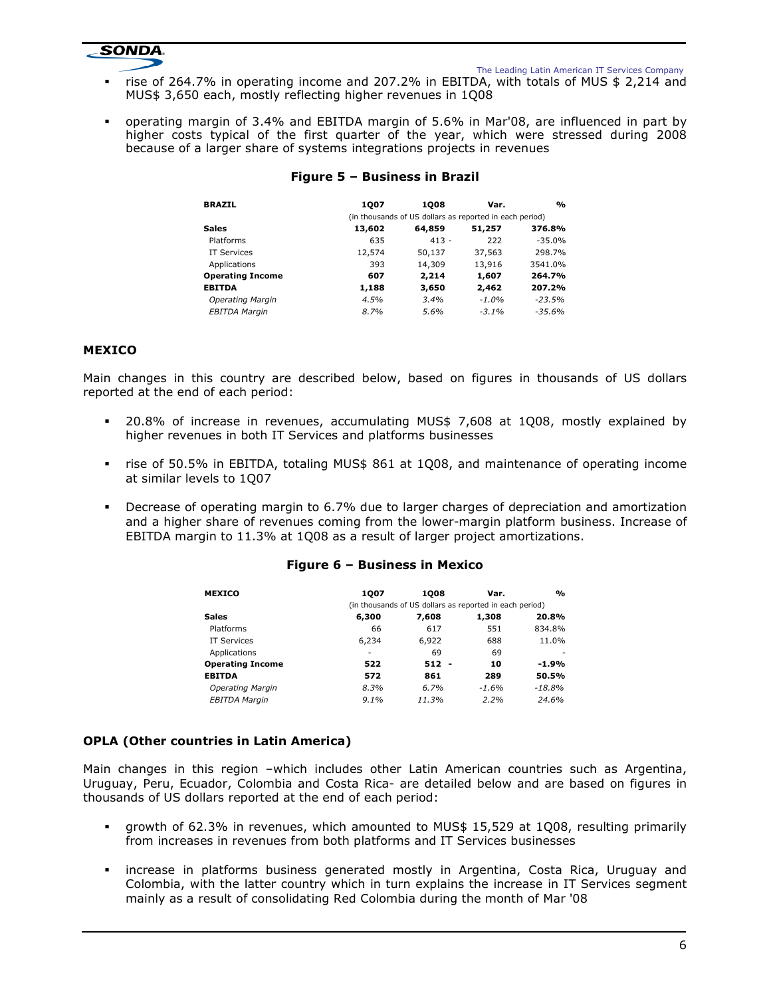

The Leading Latin American IT Services Company

- rise of 264.7% in operating income and 207.2% in EBITDA, with totals of MUS \$ 2,214 and MUS\$ 3,650 each, mostly reflecting higher revenues in 1Q08
- operating margin of 3.4% and EBITDA margin of 5.6% in Mar'08, are influenced in part by higher costs typical of the first quarter of the year, which were stressed during 2008 because of a larger share of systems integrations projects in revenues

| <b>BRAZIL</b>           | 1007   | 1008                                                    | Var.    | $\mathbf{O}_\mathbf{O}$ |
|-------------------------|--------|---------------------------------------------------------|---------|-------------------------|
|                         |        | (in thousands of US dollars as reported in each period) |         |                         |
| <b>Sales</b>            | 13,602 | 64,859                                                  | 51,257  | 376.8%                  |
| Platforms               | 635    | $413 -$                                                 | 222     | $-35.0%$                |
| <b>IT Services</b>      | 12,574 | 50,137                                                  | 37,563  | 298.7%                  |
| Applications            | 393    | 14,309                                                  | 13,916  | 3541.0%                 |
| <b>Operating Income</b> | 607    | 2.214                                                   | 1,607   | 264.7%                  |
| <b>EBITDA</b>           | 1,188  | 3,650                                                   | 2,462   | 207.2%                  |
| <b>Operating Margin</b> | 4.5%   | 3.4%                                                    | $-1.0%$ | $-23.5%$                |
| <b>EBITDA Margin</b>    | 8.7%   | 5.6%                                                    | $-3.1%$ | $-35.6%$                |

# Figure 5 – Business in Brazil

# **MEXICO**

Main changes in this country are described below, based on figures in thousands of US dollars reported at the end of each period:

- 20.8% of increase in revenues, accumulating MUS\$ 7,608 at 1Q08, mostly explained by higher revenues in both IT Services and platforms businesses
- rise of 50.5% in EBITDA, totaling MUS\$ 861 at 1Q08, and maintenance of operating income at similar levels to 1Q07
- Decrease of operating margin to 6.7% due to larger charges of depreciation and amortization and a higher share of revenues coming from the lower-margin platform business. Increase of EBITDA margin to 11.3% at 1Q08 as a result of larger project amortizations.

# Figure 6 – Business in Mexico

| <b>MEXICO</b>           | 1007    | 1008                                                    | Var.    | $\frac{0}{0}$ |
|-------------------------|---------|---------------------------------------------------------|---------|---------------|
|                         |         | (in thousands of US dollars as reported in each period) |         |               |
| <b>Sales</b>            | 6,300   | 7,608                                                   | 1,308   | 20.8%         |
| Platforms               | 66      | 617                                                     | 551     | 834.8%        |
| <b>IT Services</b>      | 6.234   | 6,922                                                   | 688     | 11.0%         |
| Applications            | ۰       | 69                                                      | 69      | ٠             |
| <b>Operating Income</b> | 522     | $512 -$                                                 | 10      | $-1.9%$       |
| <b>EBITDA</b>           | 572     | 861                                                     | 289     | 50.5%         |
| <b>Operating Margin</b> | 8.3%    | 6.7%                                                    | $-1.6%$ | $-18.8%$      |
| <b>EBITDA Margin</b>    | $9.1\%$ | 11.3%                                                   | 2.2%    | 24.6%         |

# OPLA (Other countries in Latin America)

Main changes in this region –which includes other Latin American countries such as Argentina, Uruguay, Peru, Ecuador, Colombia and Costa Rica- are detailed below and are based on figures in thousands of US dollars reported at the end of each period:

- growth of 62.3% in revenues, which amounted to MUS\$ 15,529 at 1Q08, resulting primarily from increases in revenues from both platforms and IT Services businesses
- increase in platforms business generated mostly in Argentina, Costa Rica, Uruguay and Colombia, with the latter country which in turn explains the increase in IT Services segment mainly as a result of consolidating Red Colombia during the month of Mar '08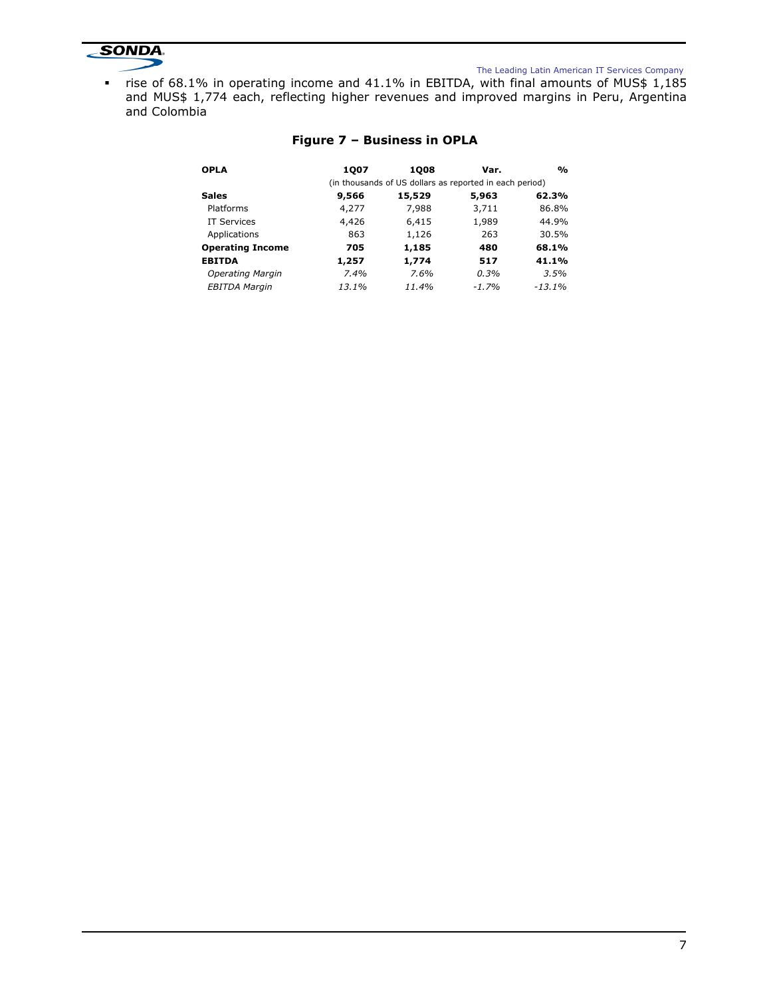

#### The Leading Latin American IT Services Company

rise of 68.1% in operating income and 41.1% in EBITDA, with final amounts of MUS\$  $1,185$ and MUS\$ 1,774 each, reflecting higher revenues and improved margins in Peru, Argentina and Colombia

| <b>OPLA</b>             | 1007  | 1008                                                    | Var.    | $\frac{0}{\alpha}$ |
|-------------------------|-------|---------------------------------------------------------|---------|--------------------|
|                         |       | (in thousands of US dollars as reported in each period) |         |                    |
| <b>Sales</b>            | 9,566 | 15,529                                                  | 5,963   | 62.3%              |
| Platforms               | 4,277 | 7,988                                                   | 3,711   | 86.8%              |
| <b>IT Services</b>      | 4,426 | 6,415                                                   | 1,989   | 44.9%              |
| Applications            | 863   | 1,126                                                   | 263     | 30.5%              |
| <b>Operating Income</b> | 705   | 1,185                                                   | 480     | 68.1%              |
| <b>EBITDA</b>           | 1,257 | 1,774                                                   | 517     | 41.1%              |
| Operating Margin        | 7.4%  | 7.6%                                                    | 0.3%    | 3.5%               |
| <b>EBITDA Margin</b>    | 13.1% | 11.4%                                                   | $-1.7%$ | $-13.1%$           |

# Figure 7 – Business in OPLA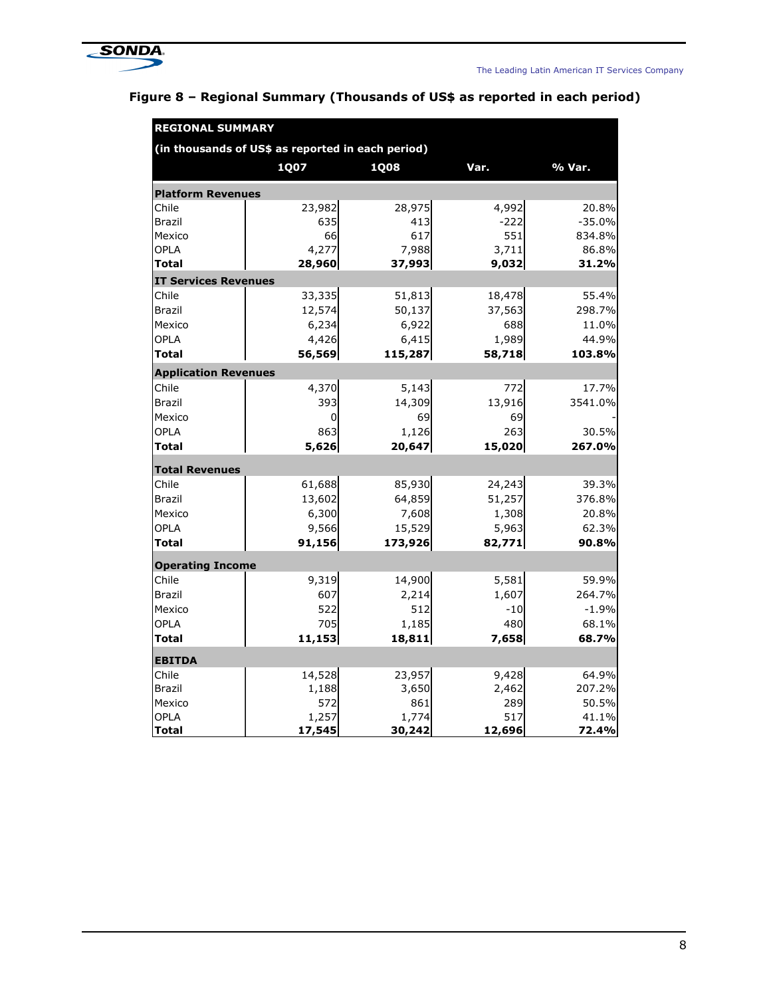

| <b>REGIONAL SUMMARY</b>                           |        |             |        |          |  |  |  |
|---------------------------------------------------|--------|-------------|--------|----------|--|--|--|
| (in thousands of US\$ as reported in each period) |        |             |        |          |  |  |  |
|                                                   | 1Q07   | <b>1Q08</b> | Var.   | % Var.   |  |  |  |
| <b>Platform Revenues</b>                          |        |             |        |          |  |  |  |
| Chile                                             | 23,982 | 28,975      | 4,992  | 20.8%    |  |  |  |
| Brazil                                            | 635    | 413         | $-222$ | $-35.0%$ |  |  |  |
| Mexico                                            | 66     | 617         | 551    | 834.8%   |  |  |  |
| <b>OPLA</b>                                       | 4,277  | 7,988       | 3,711  | 86.8%    |  |  |  |
| <b>Total</b>                                      | 28,960 | 37,993      | 9,032  | 31.2%    |  |  |  |
| <b>IT Services Revenues</b>                       |        |             |        |          |  |  |  |
| Chile                                             | 33,335 | 51,813      | 18,478 | 55.4%    |  |  |  |
| <b>Brazil</b>                                     | 12,574 | 50,137      | 37,563 | 298.7%   |  |  |  |
| Mexico                                            | 6,234  | 6,922       | 688    | 11.0%    |  |  |  |
| <b>OPLA</b>                                       | 4,426  | 6,415       | 1,989  | 44.9%    |  |  |  |
| <b>Total</b>                                      | 56,569 | 115,287     | 58,718 | 103.8%   |  |  |  |
| <b>Application Revenues</b>                       |        |             |        |          |  |  |  |
| Chile                                             | 4,370  | 5,143       | 772    | 17.7%    |  |  |  |
| <b>Brazil</b>                                     | 393    | 14,309      | 13,916 | 3541.0%  |  |  |  |
| Mexico                                            | 0      | 69          | 69     |          |  |  |  |
| OPLA                                              | 863    | 1,126       | 263    | 30.5%    |  |  |  |
| Total                                             | 5,626  | 20,647      | 15,020 | 267.0%   |  |  |  |
| <b>Total Revenues</b>                             |        |             |        |          |  |  |  |
| Chile                                             | 61,688 | 85,930      | 24,243 | 39.3%    |  |  |  |
| <b>Brazil</b>                                     | 13,602 | 64,859      | 51,257 | 376.8%   |  |  |  |
| Mexico                                            | 6,300  | 7,608       | 1,308  | 20.8%    |  |  |  |
| OPLA                                              | 9,566  | 15,529      | 5,963  | 62.3%    |  |  |  |
| <b>Total</b>                                      | 91,156 | 173,926     | 82,771 | 90.8%    |  |  |  |
| <b>Operating Income</b>                           |        |             |        |          |  |  |  |
| Chile                                             | 9,319  | 14,900      | 5,581  | 59.9%    |  |  |  |
| Brazil                                            | 607    | 2,214       | 1,607  | 264.7%   |  |  |  |
| Mexico                                            | 522    | 512         | $-10$  | $-1.9%$  |  |  |  |
| OPLA                                              | 705    | 1,185       | 480    | 68.1%    |  |  |  |
| <b>Total</b>                                      | 11,153 | 18,811      | 7,658  | 68.7%    |  |  |  |
| <b>EBITDA</b>                                     |        |             |        |          |  |  |  |
| Chile                                             | 14,528 | 23,957      | 9,428  | 64.9%    |  |  |  |
| Brazil                                            | 1,188  | 3,650       | 2,462  | 207.2%   |  |  |  |
| Mexico                                            | 572    | 861         | 289    | 50.5%    |  |  |  |
| OPLA                                              | 1,257  | 1,774       | 517    | 41.1%    |  |  |  |
| <b>Total</b>                                      | 17,545 | 30,242      | 12,696 | 72.4%    |  |  |  |

# Figure 8 – Regional Summary (Thousands of US\$ as reported in each period)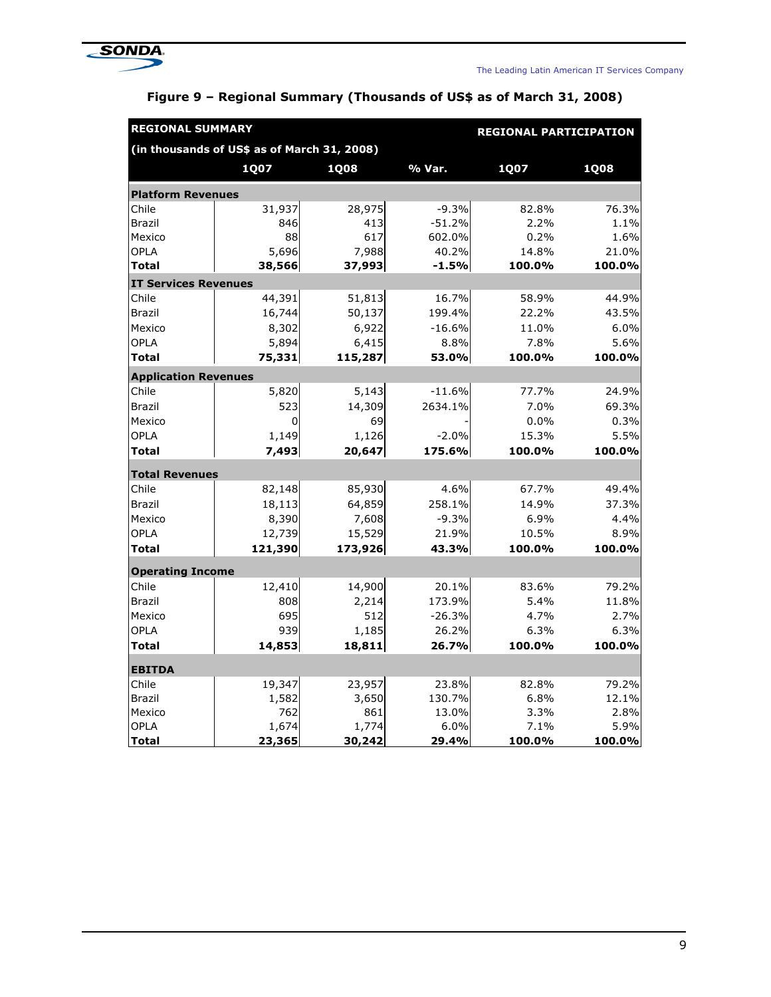

| <b>REGIONAL SUMMARY</b><br><b>REGIONAL PARTICIPATION</b> |              |              |               |              |              |  |  |
|----------------------------------------------------------|--------------|--------------|---------------|--------------|--------------|--|--|
| (in thousands of US\$ as of March 31, 2008)              |              |              |               |              |              |  |  |
|                                                          | 1Q07         | <b>1Q08</b>  | % Var.        | 1Q07         | <b>1Q08</b>  |  |  |
| <b>Platform Revenues</b>                                 |              |              |               |              |              |  |  |
| Chile                                                    | 31,937       | 28,975       | $-9.3%$       | 82.8%        | 76.3%        |  |  |
| <b>Brazil</b>                                            | 846          | 413          | $-51.2%$      | 2.2%         | 1.1%         |  |  |
| Mexico                                                   | 88           | 617          | 602.0%        | 0.2%         | 1.6%         |  |  |
| OPLA                                                     | 5,696        | 7,988        | 40.2%         | 14.8%        | 21.0%        |  |  |
| Total                                                    | 38,566       | 37,993       | $-1.5%$       | 100.0%       | 100.0%       |  |  |
| <b>IT Services Revenues</b>                              |              |              |               |              |              |  |  |
| Chile                                                    | 44,391       | 51,813       | 16.7%         | 58.9%        | 44.9%        |  |  |
| Brazil                                                   | 16,744       | 50,137       | 199.4%        | 22.2%        | 43.5%        |  |  |
| Mexico                                                   | 8,302        | 6,922        | $-16.6%$      | 11.0%        | 6.0%         |  |  |
| OPLA                                                     | 5,894        | 6,415        | 8.8%          | 7.8%         | 5.6%         |  |  |
| <b>Total</b>                                             | 75,331       | 115,287      | 53.0%         | 100.0%       | 100.0%       |  |  |
| <b>Application Revenues</b>                              |              |              |               |              |              |  |  |
| Chile                                                    | 5,820        | 5,143        | $-11.6%$      | 77.7%        | 24.9%        |  |  |
| Brazil                                                   | 523          | 14,309       | 2634.1%       | 7.0%         | 69.3%        |  |  |
| Mexico                                                   | 0            | 69           |               | 0.0%         | 0.3%         |  |  |
| OPLA                                                     | 1,149        | 1,126        | $-2.0%$       | 15.3%        | 5.5%         |  |  |
| <b>Total</b>                                             | 7,493        | 20,647       | 175.6%        | 100.0%       | 100.0%       |  |  |
| <b>Total Revenues</b>                                    |              |              |               |              |              |  |  |
| Chile                                                    | 82,148       | 85,930       | 4.6%          | 67.7%        | 49.4%        |  |  |
| Brazil                                                   | 18,113       | 64,859       | 258.1%        | 14.9%        | 37.3%        |  |  |
| Mexico                                                   | 8,390        | 7,608        | $-9.3%$       | 6.9%         | 4.4%         |  |  |
| OPLA                                                     | 12,739       | 15,529       | 21.9%         | 10.5%        | 8.9%         |  |  |
| Total                                                    | 121,390      | 173,926      | 43.3%         | 100.0%       | 100.0%       |  |  |
| <b>Operating Income</b>                                  |              |              |               |              |              |  |  |
| Chile                                                    | 12,410       | 14,900       | 20.1%         | 83.6%        | 79.2%        |  |  |
| Brazil                                                   | 808          | 2,214        | 173.9%        | 5.4%         | 11.8%        |  |  |
| Mexico                                                   | 695          | 512          | $-26.3%$      | 4.7%         | 2.7%         |  |  |
| OPLA                                                     | 939          | 1,185        | 26.2%         | 6.3%         | 6.3%         |  |  |
| Total                                                    | 14,853       | 18,811       | 26.7%         | 100.0%       | 100.0%       |  |  |
|                                                          |              |              |               |              |              |  |  |
| <b>EBITDA</b>                                            |              |              |               |              |              |  |  |
| Chile                                                    | 19,347       | 23,957       | 23.8%         | 82.8%        | 79.2%        |  |  |
| <b>Brazil</b>                                            | 1,582<br>762 | 3,650<br>861 | 130.7%        | 6.8%<br>3.3% | 12.1%        |  |  |
| Mexico<br><b>OPLA</b>                                    | 1,674        | 1,774        | 13.0%<br>6.0% | 7.1%         | 2.8%<br>5.9% |  |  |
| <b>Total</b>                                             | 23,365       | 30,242       | 29.4%         | 100.0%       | 100.0%       |  |  |

# Figure 9 – Regional Summary (Thousands of US\$ as of March 31, 2008)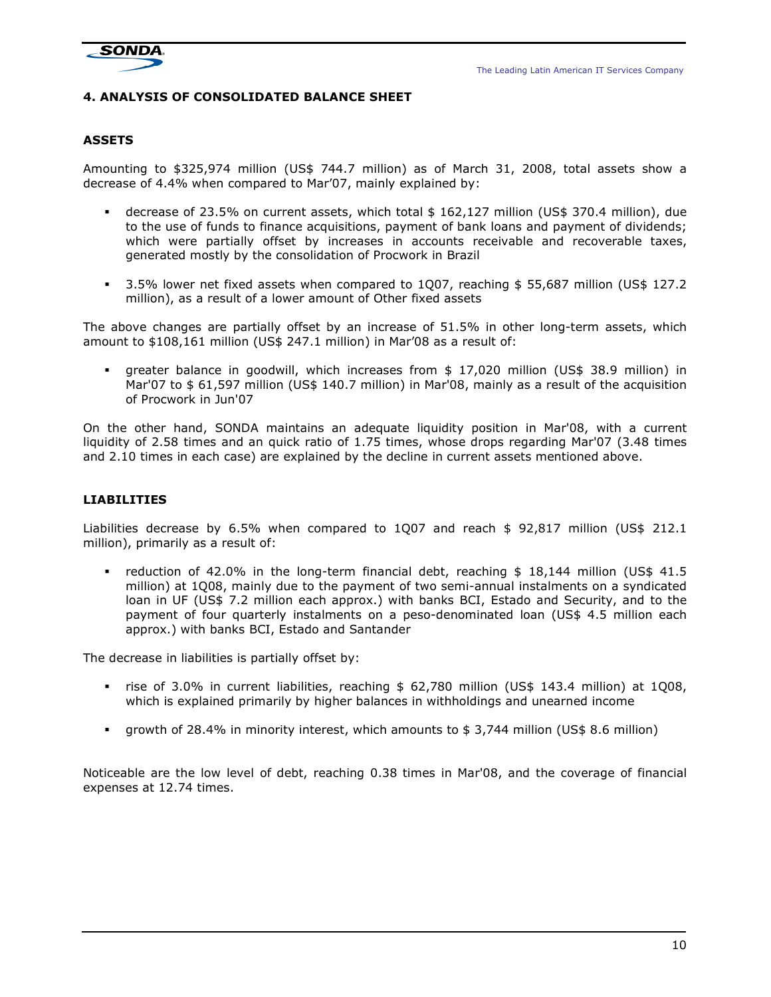

# 4. ANALYSIS OF CONSOLIDATED BALANCE SHEET

# ASSETS

Amounting to \$325,974 million (US\$ 744.7 million) as of March 31, 2008, total assets show a decrease of 4.4% when compared to Mar'07, mainly explained by:

- decrease of 23.5% on current assets, which total \$ 162,127 million (US\$ 370.4 million), due to the use of funds to finance acquisitions, payment of bank loans and payment of dividends; which were partially offset by increases in accounts receivable and recoverable taxes, generated mostly by the consolidation of Procwork in Brazil
- 3.5% lower net fixed assets when compared to 1Q07, reaching \$ 55,687 million (US\$ 127.2 million), as a result of a lower amount of Other fixed assets

The above changes are partially offset by an increase of 51.5% in other long-term assets, which amount to \$108,161 million (US\$ 247.1 million) in Mar'08 as a result of:

 greater balance in goodwill, which increases from \$ 17,020 million (US\$ 38.9 million) in Mar'07 to \$ 61,597 million (US\$ 140.7 million) in Mar'08, mainly as a result of the acquisition of Procwork in Jun'07

On the other hand, SONDA maintains an adequate liquidity position in Mar'08, with a current liquidity of 2.58 times and an quick ratio of 1.75 times, whose drops regarding Mar'07 (3.48 times and 2.10 times in each case) are explained by the decline in current assets mentioned above.

# LIABILITIES

Liabilities decrease by 6.5% when compared to 1Q07 and reach \$ 92,817 million (US\$ 212.1 million), primarily as a result of:

reduction of 42.0% in the long-term financial debt, reaching \$ 18,144 million (US\$ 41.5 million) at 1Q08, mainly due to the payment of two semi-annual instalments on a syndicated loan in UF (US\$ 7.2 million each approx.) with banks BCI, Estado and Security, and to the payment of four quarterly instalments on a peso-denominated loan (US\$ 4.5 million each approx.) with banks BCI, Estado and Santander

The decrease in liabilities is partially offset by:

- rise of 3.0% in current liabilities, reaching \$ 62,780 million (US\$ 143.4 million) at 1Q08, which is explained primarily by higher balances in withholdings and unearned income
- growth of 28.4% in minority interest, which amounts to \$ 3,744 million (US\$ 8.6 million)

Noticeable are the low level of debt, reaching 0.38 times in Mar'08, and the coverage of financial expenses at 12.74 times.